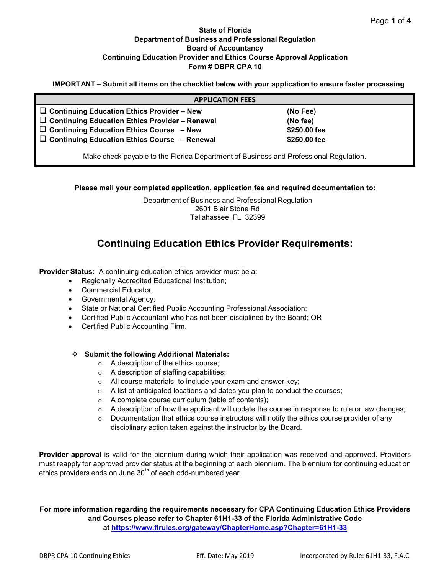## **State of Florida Department of Business and Professional Regulation Board of Accountancy Continuing Education Provider and Ethics Course Approval Application Form # DBPR CPA 10**

**IMPORTANT – Submit all items on the checklist below with your application to ensure faster processing**

| <b>APPLICATION FEES</b>                                                               |              |  |  |  |
|---------------------------------------------------------------------------------------|--------------|--|--|--|
| $\Box$ Continuing Education Ethics Provider – New                                     | (No Fee)     |  |  |  |
| $\Box$ Continuing Education Ethics Provider - Renewal                                 | (No fee)     |  |  |  |
| $\Box$ Continuing Education Ethics Course $-$ New                                     | \$250.00 fee |  |  |  |
| $\Box$ Continuing Education Ethics Course - Renewal                                   | \$250.00 fee |  |  |  |
| Make check payable to the Florida Department of Business and Professional Regulation. |              |  |  |  |

**Please mail your completed application, application fee and required documentation to:**

Department of Business and Professional Regulation 2601 Blair Stone Rd Tallahassee, FL 32399

## **Continuing Education Ethics Provider Requirements:**

**Provider Status:** A continuing education ethics provider must be a:

- Regionally Accredited Educational Institution;
- Commercial Educator;
- Governmental Agency;
- State or National Certified Public Accounting Professional Association;
- Certified Public Accountant who has not been disciplined by the Board; OR
- Certified Public Accounting Firm.

#### **Submit the following Additional Materials:**

- o A description of the ethics course;
- o A description of staffing capabilities;
- o All course materials, to include your exam and answer key;
- o A list of anticipated locations and dates you plan to conduct the courses;
- o A complete course curriculum (table of contents);
- $\circ$  A description of how the applicant will update the course in response to rule or law changes;
- o Documentation that ethics course instructors will notify the ethics course provider of any disciplinary action taken against the instructor by the Board.

**Provider approval** is valid for the biennium during which their application was received and approved. Providers must reapply for approved provider status at the beginning of each biennium. The biennium for continuing education ethics providers ends on June  $30<sup>th</sup>$  of each odd-numbered year.

**For more information regarding the requirements necessary for CPA Continuing Education Ethics Providers and Courses please refer to Chapter 61H1-33 of the Florida Administrative Code at https:/[/www.flrules.org/gateway/ChapterHome.asp?Chapter=61H1-33](http://www.flrules.org/gateway/ChapterHome.asp?Chapter=61H1-33)**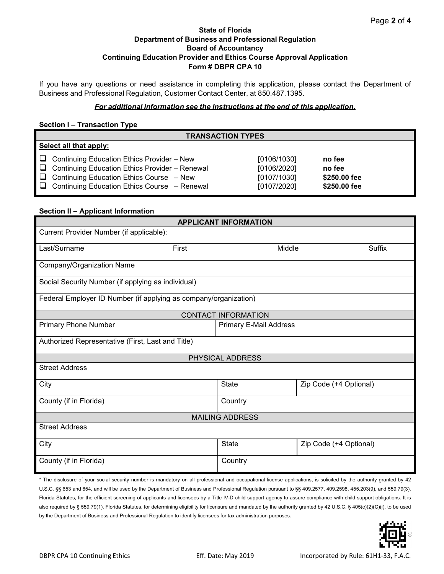## **State of Florida Department of Business and Professional Regulation Board of Accountancy Continuing Education Provider and Ethics Course Approval Application Form # DBPR CPA 10**

If you have any questions or need assistance in completing this application, please contact the Department of Business and Professional Regulation, Customer Contact Center, at 850.487.1395.

#### *For additional information see the Instructions at the end of this application.*

#### **Section I – Transaction Type**

| <b>TRANSACTION TYPES</b> |                                                                                                                                                                                                                      |                                                          |                                                  |  |  |
|--------------------------|----------------------------------------------------------------------------------------------------------------------------------------------------------------------------------------------------------------------|----------------------------------------------------------|--------------------------------------------------|--|--|
| Select all that apply:   |                                                                                                                                                                                                                      |                                                          |                                                  |  |  |
|                          | $\Box$ Continuing Education Ethics Provider – New<br>$\Box$ Continuing Education Ethics Provider - Renewal<br>$\Box$ Continuing Education Ethics Course – New<br>$\Box$ Continuing Education Ethics Course - Renewal | [0106/1030]<br>[0106/2020]<br>[0107/1030]<br>[0107/2020] | no fee<br>no fee<br>\$250.00 fee<br>\$250.00 fee |  |  |

### **Section II – Applicant Information**

| <b>APPLICANT INFORMATION</b>                                     |                               |                        |  |  |  |  |  |
|------------------------------------------------------------------|-------------------------------|------------------------|--|--|--|--|--|
| Current Provider Number (if applicable):                         |                               |                        |  |  |  |  |  |
| First<br>Last/Surname                                            | Middle                        | Suffix                 |  |  |  |  |  |
| Company/Organization Name                                        |                               |                        |  |  |  |  |  |
| Social Security Number (if applying as individual)               |                               |                        |  |  |  |  |  |
| Federal Employer ID Number (if applying as company/organization) |                               |                        |  |  |  |  |  |
| <b>CONTACT INFORMATION</b>                                       |                               |                        |  |  |  |  |  |
| <b>Primary Phone Number</b>                                      | <b>Primary E-Mail Address</b> |                        |  |  |  |  |  |
| Authorized Representative (First, Last and Title)                |                               |                        |  |  |  |  |  |
| PHYSICAL ADDRESS                                                 |                               |                        |  |  |  |  |  |
| <b>Street Address</b>                                            |                               |                        |  |  |  |  |  |
| City                                                             | <b>State</b>                  | Zip Code (+4 Optional) |  |  |  |  |  |
| County (if in Florida)                                           | Country                       |                        |  |  |  |  |  |
| <b>MAILING ADDRESS</b>                                           |                               |                        |  |  |  |  |  |
| <b>Street Address</b>                                            |                               |                        |  |  |  |  |  |
| City                                                             | <b>State</b>                  | Zip Code (+4 Optional) |  |  |  |  |  |
| County (if in Florida)                                           | Country                       |                        |  |  |  |  |  |

\* The disclosure of your social security number is mandatory on all professional and occupational license applications, is solicited by the authority granted by 42 U.S.C. §§ 653 and 654, and will be used by the Department of Business and Professional Regulation pursuant to §§ 409.2577, 409.2598, 455.203(9), and 559.79(3), Florida Statutes, for the efficient screening of applicants and licensees by a Title IV-D child support agency to assure compliance with child support obligations. It is also required by § 559.79(1), Florida Statutes, for determining eligibility for licensure and mandated by the authority granted by 42 U.S.C. § 405(c)(2)(C)(i), to be used by the Department of Business and Professional Regulation to identify licensees for tax administration purposes.

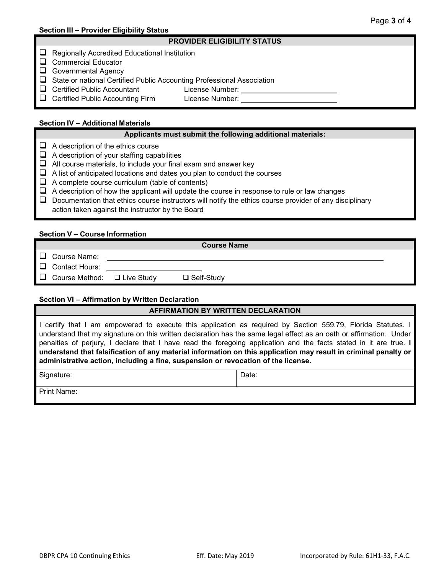#### **PROVIDER ELIGIBILITY STATUS**

- $\Box$  Regionally Accredited Educational Institution
- Commercial Educator
- Governmental Agency
- State or national Certified Public Accounting Professional Association
- Certified Public Accountant License Number:

**Q** Certified Public Accounting Firm License Number:

### **Section IV – Additional Materials**

#### **Applicants must submit the following additional materials:**

- $\Box$  A description of the ethics course
- $\Box$  A description of your staffing capabilities
- $\Box$  All course materials, to include your final exam and answer key
- $\Box$  A list of anticipated locations and dates you plan to conduct the courses
- $\Box$  A complete course curriculum (table of contents)
- $\Box$  A description of how the applicant will update the course in response to rule or law changes
- $\Box$  Documentation that ethics course instructors will notify the ethics course provider of any disciplinary
	- action taken against the instructor by the Board

#### **Section V – Course Information**

**Course Name**

- $\Box$  Course Name:
- $\Box$  Contact Hours:
- $\Box$  Course Method:  $\Box$  Live Study  $\Box$  Self-Study

#### **Section VI – Affirmation by Written Declaration**

## **AFFIRMATION BY WRITTEN DECLARATION**

I certify that I am empowered to execute this application as required by Section 559.79, Florida Statutes. I understand that my signature on this written declaration has the same legal effect as an oath or affirmation. Under penalties of perjury, I declare that I have read the foregoing application and the facts stated in it are true. **I understand that falsification of any material information on this application may result in criminal penalty or administrative action, including a fine, suspension or revocation of the license.**

Signature: Date: Date: Date: Date: Date: Date: Date: Date: Date: Date: Date: Date: Date: Date: Date: Date: Date: Date: Date: Date: Date: Date: Date: Date: Date: Date: Date: Date: Date: Date: Date: Date: Date: Date: Date: D

Print Name: